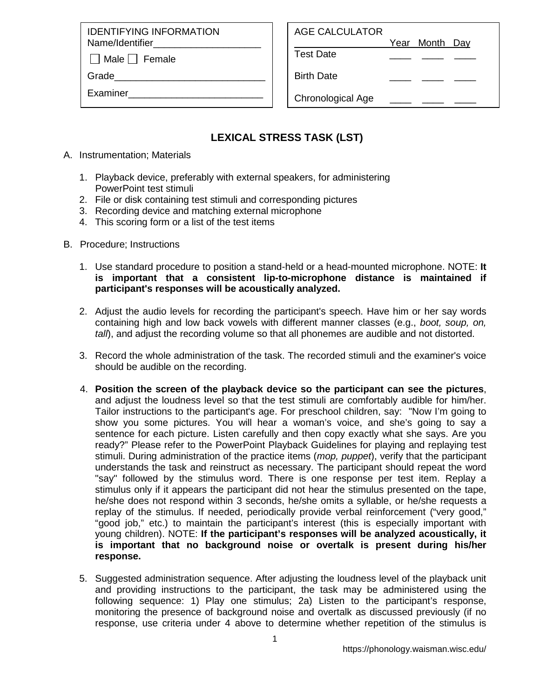IDENTIFYING INFORMATION Name/Identifier

 $\Box$  Male  $\Box$  Female

Grade

Examiner\_\_\_\_\_\_\_\_\_\_\_\_\_\_\_\_\_\_\_\_\_\_\_\_\_

## AGE CALCULATOR

Year Month Day

Test Date \_\_\_\_ \_\_\_\_ \_\_\_\_

Birth Date

Chronological Age

# **LEXICAL STRESS TASK (LST)**

- A. Instrumentation; Materials
	- 1. Playback device, preferably with external speakers, for administering PowerPoint test stimuli
	- 2. File or disk containing test stimuli and corresponding pictures
	- 3. Recording device and matching external microphone
	- 4. This scoring form or a list of the test items
- B. Procedure; Instructions
	- 1. Use standard procedure to position a stand-held or a head-mounted microphone. NOTE: **It is important that a consistent lip-to-microphone distance is maintained if participant's responses will be acoustically analyzed.**
	- 2. Adjust the audio levels for recording the participant's speech. Have him or her say words containing high and low back vowels with different manner classes (e.g., *boot, soup, on, tall*), and adjust the recording volume so that all phonemes are audible and not distorted.
	- 3. Record the whole administration of the task. The recorded stimuli and the examiner's voice should be audible on the recording.
	- 4. **Position the screen of the playback device so the participant can see the pictures**, and adjust the loudness level so that the test stimuli are comfortably audible for him/her. Tailor instructions to the participant's age. For preschool children, say: "Now I'm going to show you some pictures. You will hear a woman's voice, and she's going to say a sentence for each picture. Listen carefully and then copy exactly what she says. Are you ready?" Please refer to the PowerPoint Playback Guidelines for playing and replaying test stimuli. During administration of the practice items (*mop, puppet*), verify that the participant understands the task and reinstruct as necessary. The participant should repeat the word "say" followed by the stimulus word. There is one response per test item. Replay a stimulus only if it appears the participant did not hear the stimulus presented on the tape, he/she does not respond within 3 seconds, he/she omits a syllable, or he/she requests a replay of the stimulus. If needed, periodically provide verbal reinforcement ("very good," "good job," etc.) to maintain the participant's interest (this is especially important with young children). NOTE: **If the participant's responses will be analyzed acoustically, it is important that no background noise or overtalk is present during his/her response.**
	- 5. Suggested administration sequence. After adjusting the loudness level of the playback unit and providing instructions to the participant, the task may be administered using the following sequence: 1) Play one stimulus; 2a) Listen to the participant's response, monitoring the presence of background noise and overtalk as discussed previously (if no response, use criteria under 4 above to determine whether repetition of the stimulus is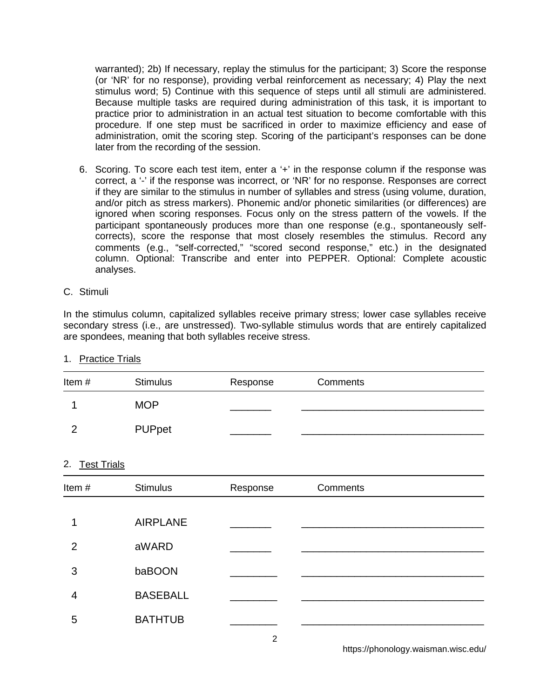warranted); 2b) If necessary, replay the stimulus for the participant; 3) Score the response (or 'NR' for no response), providing verbal reinforcement as necessary; 4) Play the next stimulus word; 5) Continue with this sequence of steps until all stimuli are administered. Because multiple tasks are required during administration of this task, it is important to practice prior to administration in an actual test situation to become comfortable with this procedure. If one step must be sacrificed in order to maximize efficiency and ease of administration, omit the scoring step. Scoring of the participant's responses can be done later from the recording of the session.

6. Scoring. To score each test item, enter a '+' in the response column if the response was correct, a '-' if the response was incorrect, or 'NR' for no response. Responses are correct if they are similar to the stimulus in number of syllables and stress (using volume, duration, and/or pitch as stress markers). Phonemic and/or phonetic similarities (or differences) are ignored when scoring responses. Focus only on the stress pattern of the vowels. If the participant spontaneously produces more than one response (e.g., spontaneously selfcorrects), score the response that most closely resembles the stimulus. Record any comments (e.g., "self-corrected," "scored second response," etc.) in the designated column. Optional: Transcribe and enter into PEPPER. Optional: Complete acoustic analyses.

#### C. Stimuli

In the stimulus column, capitalized syllables receive primary stress; lower case syllables receive secondary stress (i.e., are unstressed). Two-syllable stimulus words that are entirely capitalized are spondees, meaning that both syllables receive stress.

| Item# | <b>Stimulus</b> | Response | Comments |  |
|-------|-----------------|----------|----------|--|
|       | <b>MOP</b>      |          |          |  |
|       | PUPpet          |          |          |  |

### 1. Practice Trials

#### 2. Test Trials

| Item#          | <b>Stimulus</b> | Response | Comments |
|----------------|-----------------|----------|----------|
|                |                 |          |          |
| 1              | <b>AIRPLANE</b> |          |          |
| $\overline{2}$ | aWARD           |          |          |
| 3              | baBOON          |          |          |
| 4              | <b>BASEBALL</b> |          |          |
| 5              | <b>BATHTUB</b>  |          |          |

2

https://phonology.waisman.wisc.edu/